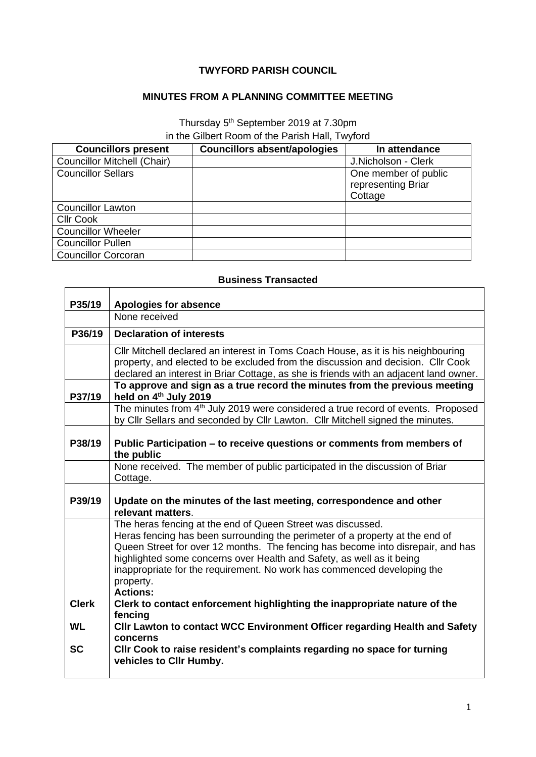## **TWYFORD PARISH COUNCIL**

## **MINUTES FROM A PLANNING COMMITTEE MEETING**

Thursday 5<sup>th</sup> September 2019 at 7.30pm in the Gilbert Room of the Parish Hall, Twyford

| <b>Councillors present</b>         | <b>Councillors absent/apologies</b> | In attendance                                         |
|------------------------------------|-------------------------------------|-------------------------------------------------------|
| <b>Councillor Mitchell (Chair)</b> |                                     | J.Nicholson - Clerk                                   |
| <b>Councillor Sellars</b>          |                                     | One member of public<br>representing Briar<br>Cottage |
| <b>Councillor Lawton</b>           |                                     |                                                       |
| <b>CIIr Cook</b>                   |                                     |                                                       |
| <b>Councillor Wheeler</b>          |                                     |                                                       |
| <b>Councillor Pullen</b>           |                                     |                                                       |
| <b>Councillor Corcoran</b>         |                                     |                                                       |

## **Business Transacted**

| P35/19       | <b>Apologies for absence</b><br>None received                                                                                                    |
|--------------|--------------------------------------------------------------------------------------------------------------------------------------------------|
|              |                                                                                                                                                  |
| P36/19       | <b>Declaration of interests</b>                                                                                                                  |
|              | CIIr Mitchell declared an interest in Toms Coach House, as it is his neighbouring                                                                |
|              | property, and elected to be excluded from the discussion and decision. Cllr Cook                                                                 |
|              | declared an interest in Briar Cottage, as she is friends with an adjacent land owner.                                                            |
| P37/19       | To approve and sign as a true record the minutes from the previous meeting<br>held on 4th July 2019                                              |
|              | The minutes from 4 <sup>th</sup> July 2019 were considered a true record of events. Proposed                                                     |
|              | by Cllr Sellars and seconded by Cllr Lawton. Cllr Mitchell signed the minutes.                                                                   |
|              |                                                                                                                                                  |
| P38/19       | Public Participation – to receive questions or comments from members of                                                                          |
|              | the public                                                                                                                                       |
|              | None received. The member of public participated in the discussion of Briar<br>Cottage.                                                          |
|              |                                                                                                                                                  |
| P39/19       | Update on the minutes of the last meeting, correspondence and other                                                                              |
|              | relevant matters.                                                                                                                                |
|              | The heras fencing at the end of Queen Street was discussed.                                                                                      |
|              | Heras fencing has been surrounding the perimeter of a property at the end of                                                                     |
|              | Queen Street for over 12 months. The fencing has become into disrepair, and has                                                                  |
|              | highlighted some concerns over Health and Safety, as well as it being<br>inappropriate for the requirement. No work has commenced developing the |
|              | property.                                                                                                                                        |
|              | <b>Actions:</b>                                                                                                                                  |
| <b>Clerk</b> | Clerk to contact enforcement highlighting the inappropriate nature of the                                                                        |
|              | fencing                                                                                                                                          |
| <b>WL</b>    | CIIr Lawton to contact WCC Environment Officer regarding Health and Safety                                                                       |
| <b>SC</b>    | concerns                                                                                                                                         |
|              | CIIr Cook to raise resident's complaints regarding no space for turning<br>vehicles to Cllr Humby.                                               |
|              |                                                                                                                                                  |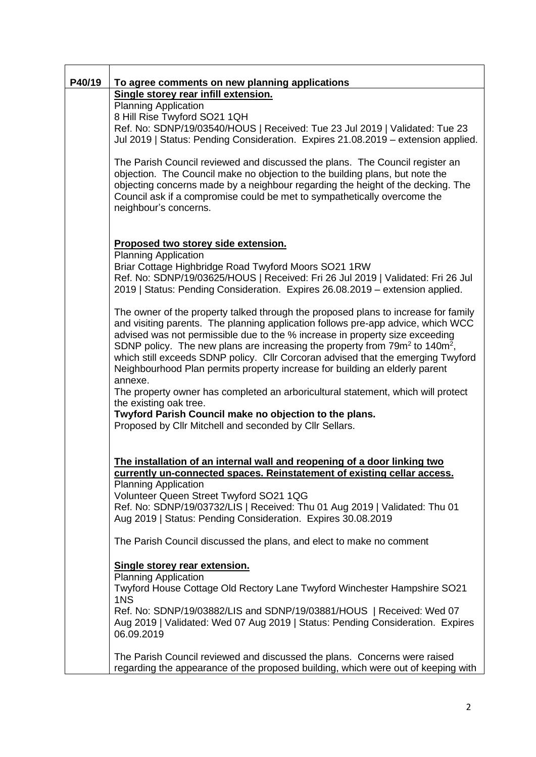| P40/19 | To agree comments on new planning applications<br>Single storey rear infill extension.                                                                                                                                                                                                                                                                                                                                                                                                                                                      |
|--------|---------------------------------------------------------------------------------------------------------------------------------------------------------------------------------------------------------------------------------------------------------------------------------------------------------------------------------------------------------------------------------------------------------------------------------------------------------------------------------------------------------------------------------------------|
|        | <b>Planning Application</b>                                                                                                                                                                                                                                                                                                                                                                                                                                                                                                                 |
|        | 8 Hill Rise Twyford SO21 1QH                                                                                                                                                                                                                                                                                                                                                                                                                                                                                                                |
|        | Ref. No: SDNP/19/03540/HOUS   Received: Tue 23 Jul 2019   Validated: Tue 23                                                                                                                                                                                                                                                                                                                                                                                                                                                                 |
|        | Jul 2019   Status: Pending Consideration. Expires 21.08.2019 - extension applied.                                                                                                                                                                                                                                                                                                                                                                                                                                                           |
|        | The Parish Council reviewed and discussed the plans. The Council register an<br>objection. The Council make no objection to the building plans, but note the<br>objecting concerns made by a neighbour regarding the height of the decking. The<br>Council ask if a compromise could be met to sympathetically overcome the<br>neighbour's concerns.                                                                                                                                                                                        |
|        | Proposed two storey side extension.                                                                                                                                                                                                                                                                                                                                                                                                                                                                                                         |
|        | <b>Planning Application</b>                                                                                                                                                                                                                                                                                                                                                                                                                                                                                                                 |
|        | Briar Cottage Highbridge Road Twyford Moors SO21 1RW<br>Ref. No: SDNP/19/03625/HOUS   Received: Fri 26 Jul 2019   Validated: Fri 26 Jul<br>2019   Status: Pending Consideration. Expires 26.08.2019 - extension applied.                                                                                                                                                                                                                                                                                                                    |
|        | The owner of the property talked through the proposed plans to increase for family<br>and visiting parents. The planning application follows pre-app advice, which WCC<br>advised was not permissible due to the % increase in property size exceeding<br>SDNP policy. The new plans are increasing the property from 79m <sup>2</sup> to 140m <sup>2</sup> ,<br>which still exceeds SDNP policy. Cllr Corcoran advised that the emerging Twyford<br>Neighbourhood Plan permits property increase for building an elderly parent<br>annexe. |
|        | The property owner has completed an arboricultural statement, which will protect                                                                                                                                                                                                                                                                                                                                                                                                                                                            |
|        | the existing oak tree.<br>Twyford Parish Council make no objection to the plans.                                                                                                                                                                                                                                                                                                                                                                                                                                                            |
|        | Proposed by Cllr Mitchell and seconded by Cllr Sellars.                                                                                                                                                                                                                                                                                                                                                                                                                                                                                     |
|        |                                                                                                                                                                                                                                                                                                                                                                                                                                                                                                                                             |
|        | The installation of an internal wall and reopening of a door linking two<br>currently un-connected spaces. Reinstatement of existing cellar access.<br><b>Planning Application</b>                                                                                                                                                                                                                                                                                                                                                          |
|        | Volunteer Queen Street Twyford SO21 1QG                                                                                                                                                                                                                                                                                                                                                                                                                                                                                                     |
|        | Ref. No: SDNP/19/03732/LIS   Received: Thu 01 Aug 2019   Validated: Thu 01                                                                                                                                                                                                                                                                                                                                                                                                                                                                  |
|        | Aug 2019   Status: Pending Consideration. Expires 30.08.2019                                                                                                                                                                                                                                                                                                                                                                                                                                                                                |
|        | The Parish Council discussed the plans, and elect to make no comment                                                                                                                                                                                                                                                                                                                                                                                                                                                                        |
|        | Single storey rear extension.                                                                                                                                                                                                                                                                                                                                                                                                                                                                                                               |
|        | <b>Planning Application</b><br>Twyford House Cottage Old Rectory Lane Twyford Winchester Hampshire SO21                                                                                                                                                                                                                                                                                                                                                                                                                                     |
|        | 1NS<br>Ref. No: SDNP/19/03882/LIS and SDNP/19/03881/HOUS   Received: Wed 07<br>Aug 2019   Validated: Wed 07 Aug 2019   Status: Pending Consideration. Expires<br>06.09.2019                                                                                                                                                                                                                                                                                                                                                                 |
|        | The Parish Council reviewed and discussed the plans. Concerns were raised<br>regarding the appearance of the proposed building, which were out of keeping with                                                                                                                                                                                                                                                                                                                                                                              |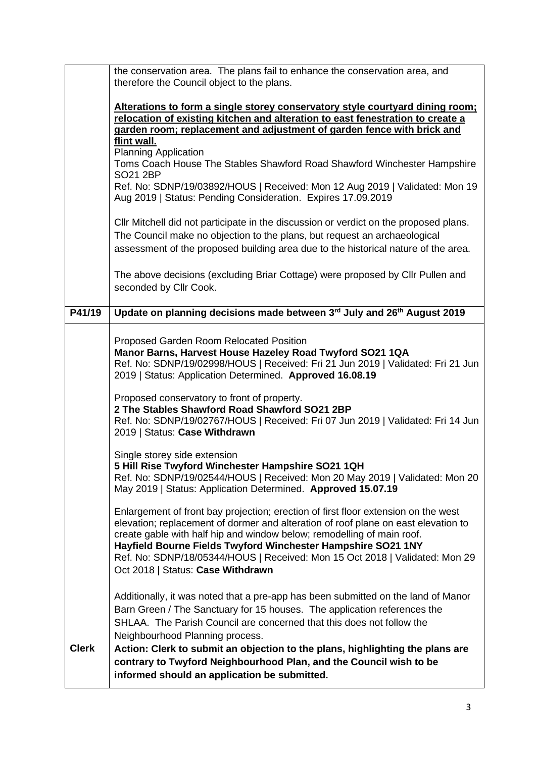|              | the conservation area. The plans fail to enhance the conservation area, and<br>therefore the Council object to the plans.                                                                                                                                                                                                                                                                                                              |
|--------------|----------------------------------------------------------------------------------------------------------------------------------------------------------------------------------------------------------------------------------------------------------------------------------------------------------------------------------------------------------------------------------------------------------------------------------------|
|              | Alterations to form a single storey conservatory style courtyard dining room;<br>relocation of existing kitchen and alteration to east fenestration to create a<br>garden room; replacement and adjustment of garden fence with brick and                                                                                                                                                                                              |
|              | flint wall.<br><b>Planning Application</b><br>Toms Coach House The Stables Shawford Road Shawford Winchester Hampshire<br><b>SO21 2BP</b>                                                                                                                                                                                                                                                                                              |
|              | Ref. No: SDNP/19/03892/HOUS   Received: Mon 12 Aug 2019   Validated: Mon 19<br>Aug 2019   Status: Pending Consideration. Expires 17.09.2019                                                                                                                                                                                                                                                                                            |
|              | Cllr Mitchell did not participate in the discussion or verdict on the proposed plans.<br>The Council make no objection to the plans, but request an archaeological<br>assessment of the proposed building area due to the historical nature of the area.                                                                                                                                                                               |
|              | The above decisions (excluding Briar Cottage) were proposed by Cllr Pullen and<br>seconded by Cllr Cook.                                                                                                                                                                                                                                                                                                                               |
| P41/19       | Update on planning decisions made between 3rd July and 26 <sup>th</sup> August 2019                                                                                                                                                                                                                                                                                                                                                    |
|              | Proposed Garden Room Relocated Position<br>Manor Barns, Harvest House Hazeley Road Twyford SO21 1QA<br>Ref. No: SDNP/19/02998/HOUS   Received: Fri 21 Jun 2019   Validated: Fri 21 Jun<br>2019   Status: Application Determined. Approved 16.08.19                                                                                                                                                                                     |
|              | Proposed conservatory to front of property.<br>2 The Stables Shawford Road Shawford SO21 2BP<br>Ref. No: SDNP/19/02767/HOUS   Received: Fri 07 Jun 2019   Validated: Fri 14 Jun<br>2019   Status: Case Withdrawn                                                                                                                                                                                                                       |
|              | Single storey side extension<br>5 Hill Rise Twyford Winchester Hampshire SO21 1QH<br>Ref. No: SDNP/19/02544/HOUS   Received: Mon 20 May 2019   Validated: Mon 20<br>May 2019   Status: Application Determined. Approved 15.07.19                                                                                                                                                                                                       |
|              | Enlargement of front bay projection; erection of first floor extension on the west<br>elevation; replacement of dormer and alteration of roof plane on east elevation to<br>create gable with half hip and window below; remodelling of main roof.<br>Hayfield Bourne Fields Twyford Winchester Hampshire SO21 1NY<br>Ref. No: SDNP/18/05344/HOUS   Received: Mon 15 Oct 2018   Validated: Mon 29<br>Oct 2018   Status: Case Withdrawn |
| <b>Clerk</b> | Additionally, it was noted that a pre-app has been submitted on the land of Manor<br>Barn Green / The Sanctuary for 15 houses. The application references the<br>SHLAA. The Parish Council are concerned that this does not follow the<br>Neighbourhood Planning process.<br>Action: Clerk to submit an objection to the plans, highlighting the plans are                                                                             |
|              | contrary to Twyford Neighbourhood Plan, and the Council wish to be<br>informed should an application be submitted.                                                                                                                                                                                                                                                                                                                     |